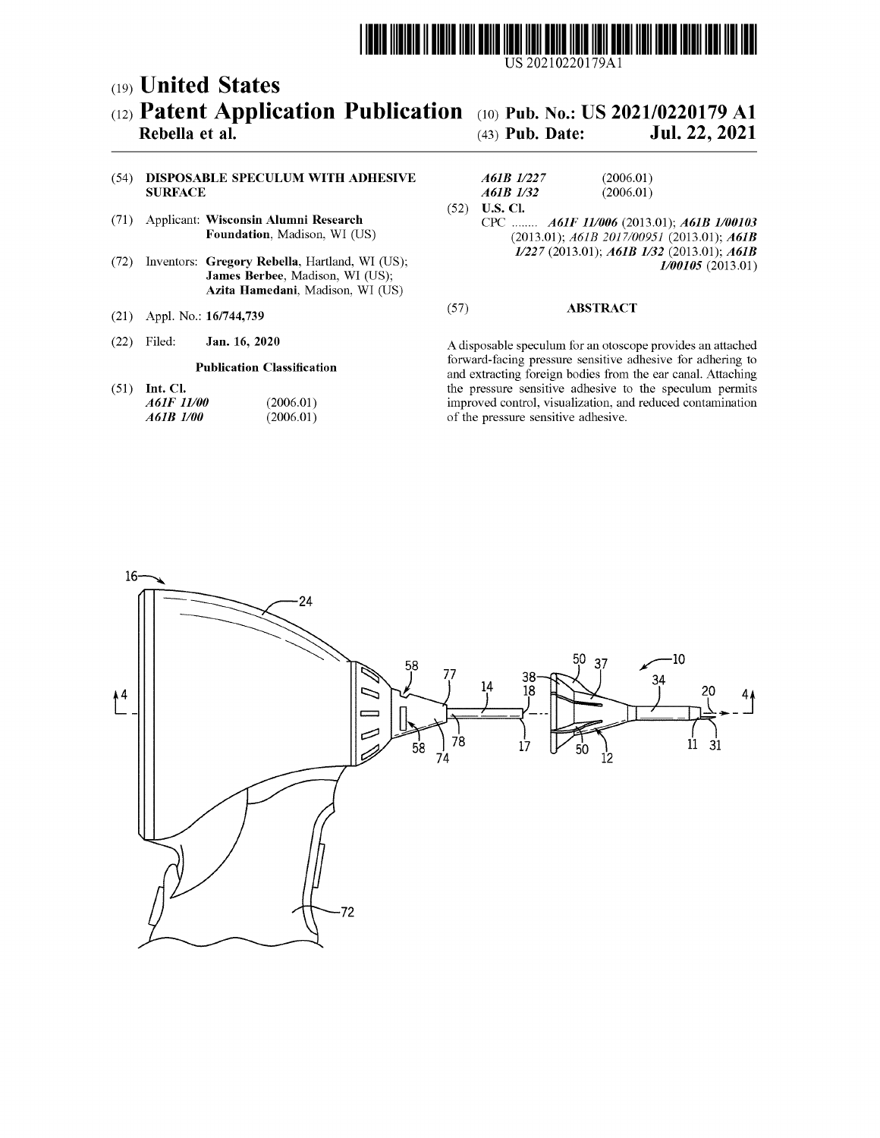

US 20210220179Al

## c19) **United States**  c12) **Patent Application Publication**  c10) **Pub. No.: US 2021/0220179 Al**

### **Rebella et al.**

# (43) **Pub. Date: Jul. 22, 2021**

#### (54) **DISPOSABLE SPECULUM WITH ADHESIVE SURFACE**

- (71) Applicant: **Wisconsin Alumni Research Foundation,** Madison, WI (US)
- (72) Inventors: **Gregory Rebella,** Hartland, WI (US); **James Berbee,** Madison, WI (US); **Azita Hamedani,** Madison, WI (US)
- (21) Appl. No.: **16/744,739**
- (22) Jan. 16, 2020

#### **Publication Classification**

(51) **Int. Cl.**  *A61F 11100 A61B 1100*  (2006.01) (2006.01)

| A61B 1/227    | (2006.01) |
|---------------|-----------|
| A61B 1/32     | (2006.01) |
| (52) U.S. Cl. |           |

CPC ........ *A61F 111006* (2013.01); *A61B 1100103*  (2013.01); *A61B 2017/00951* (2013.01); *A61B 11227* (2013.01); *A61B 1132* (2013.01); *A61B 1100105* (2013.01)

#### (57) **ABSTRACT**

A disposable speculum for an otoscope provides an attached forward-facing pressure sensitive adhesive for adhering to and extracting foreign bodies from the ear canal. Attaching the pressure sensitive adhesive to the speculum permits improved control, visualization, and reduced contamination of the pressure sensitive adhesive.

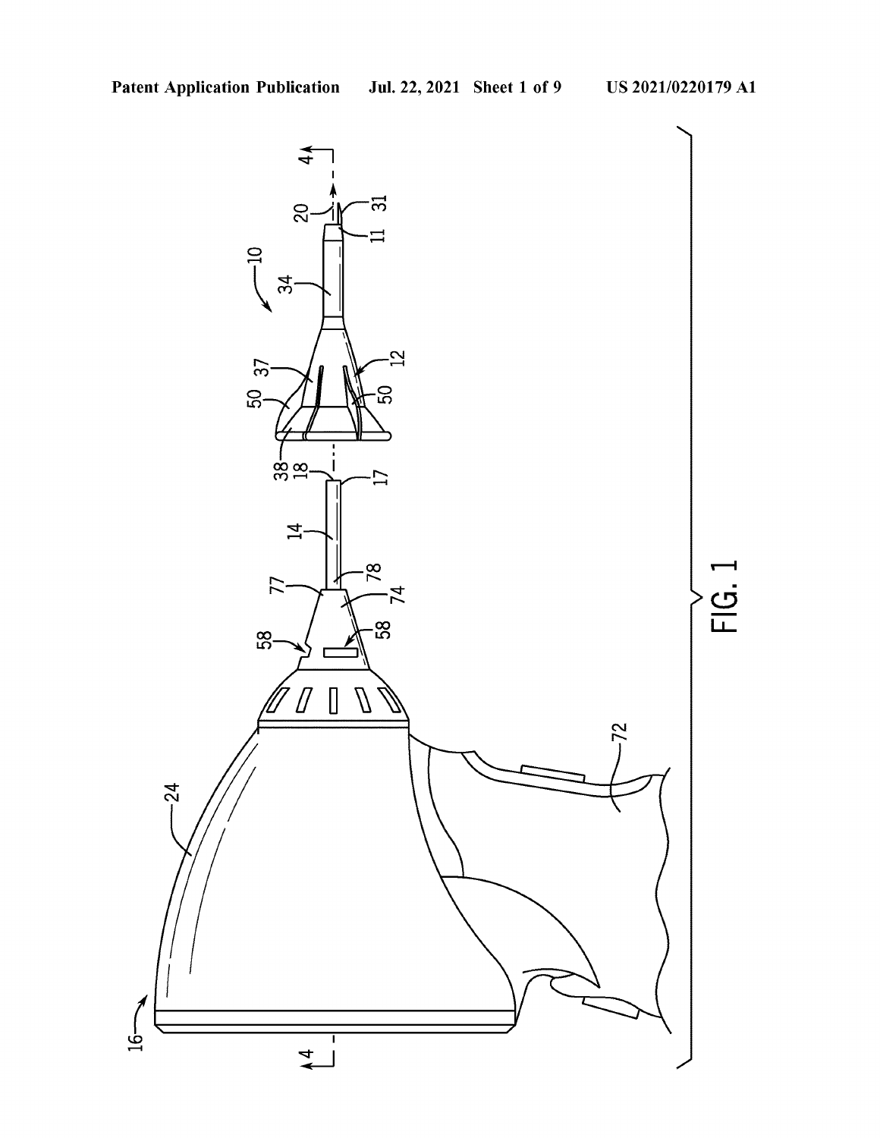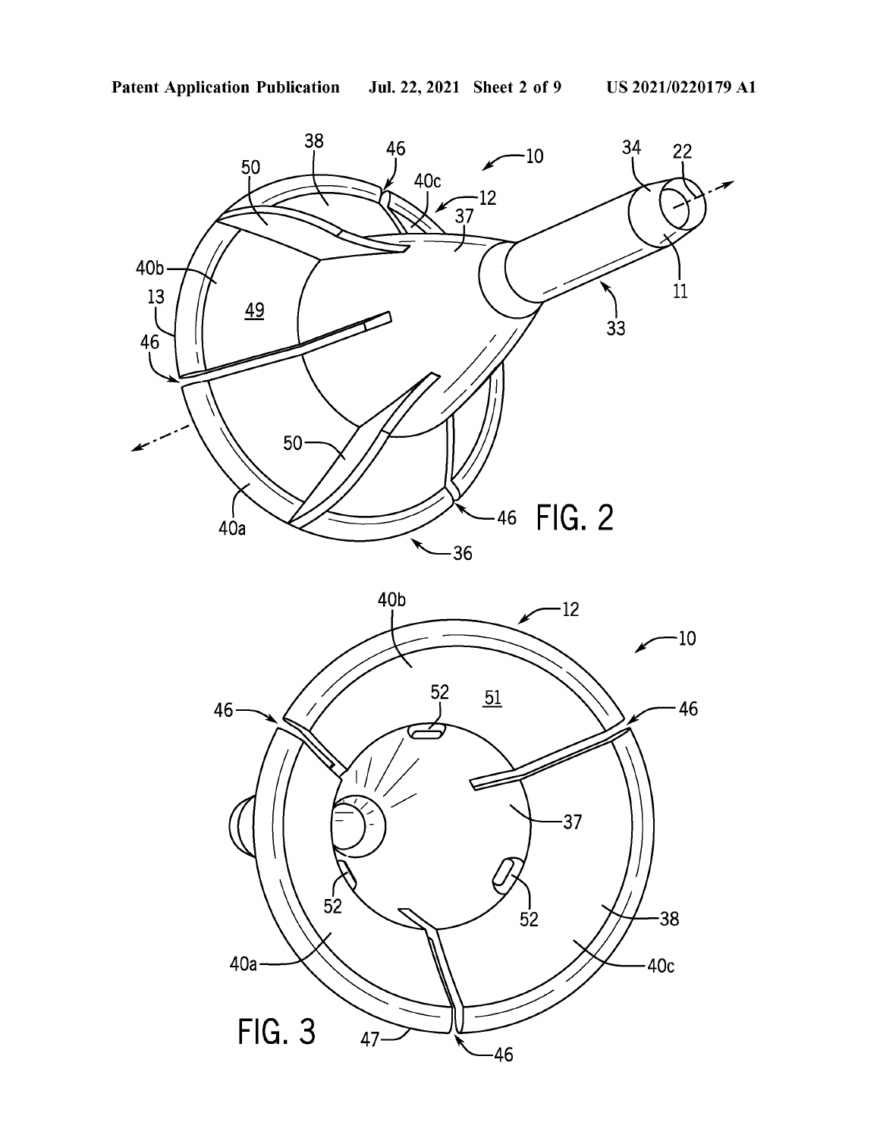

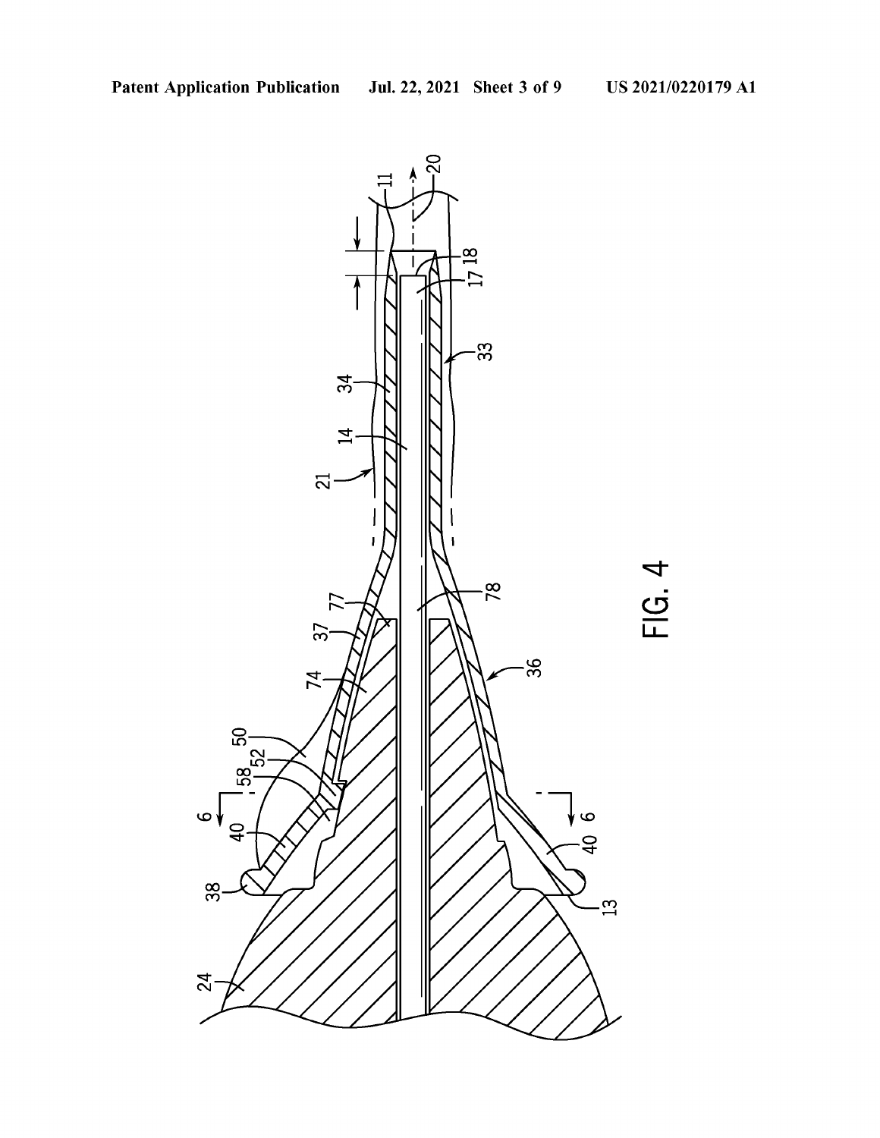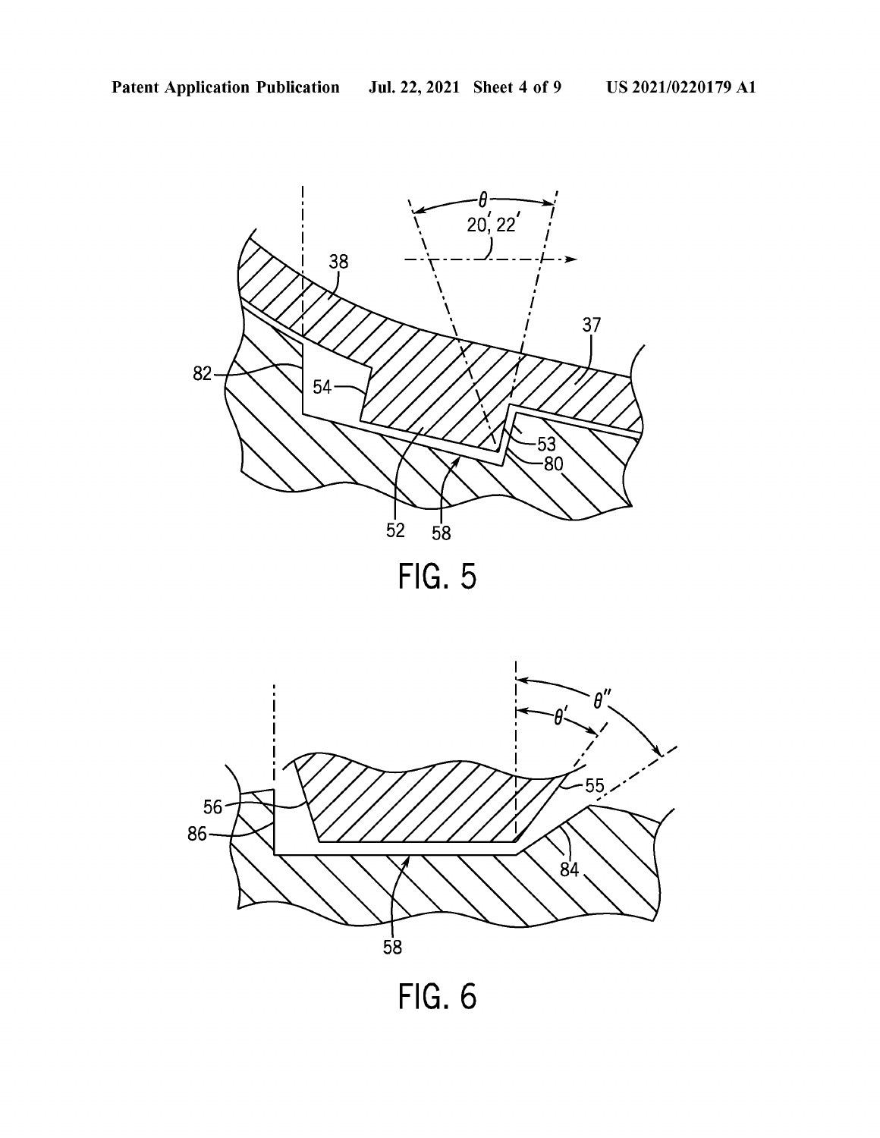





**FIG. 6**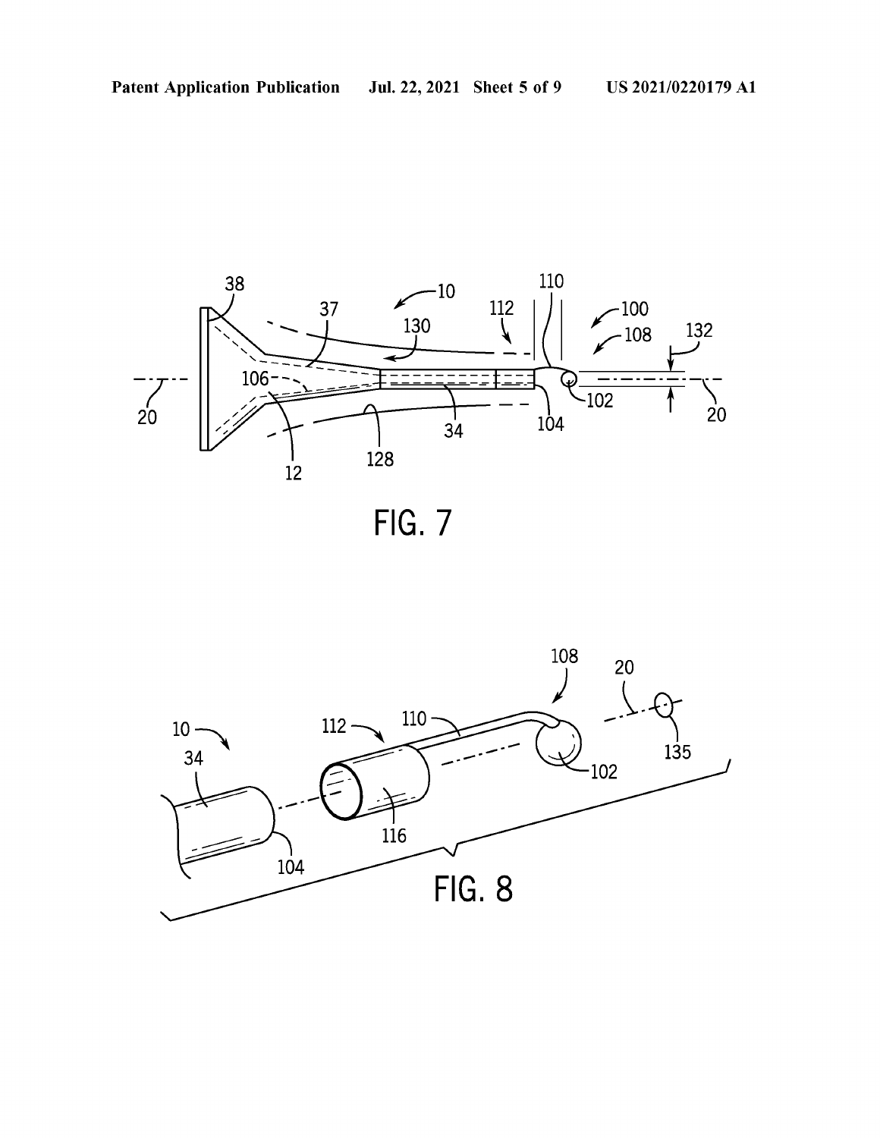



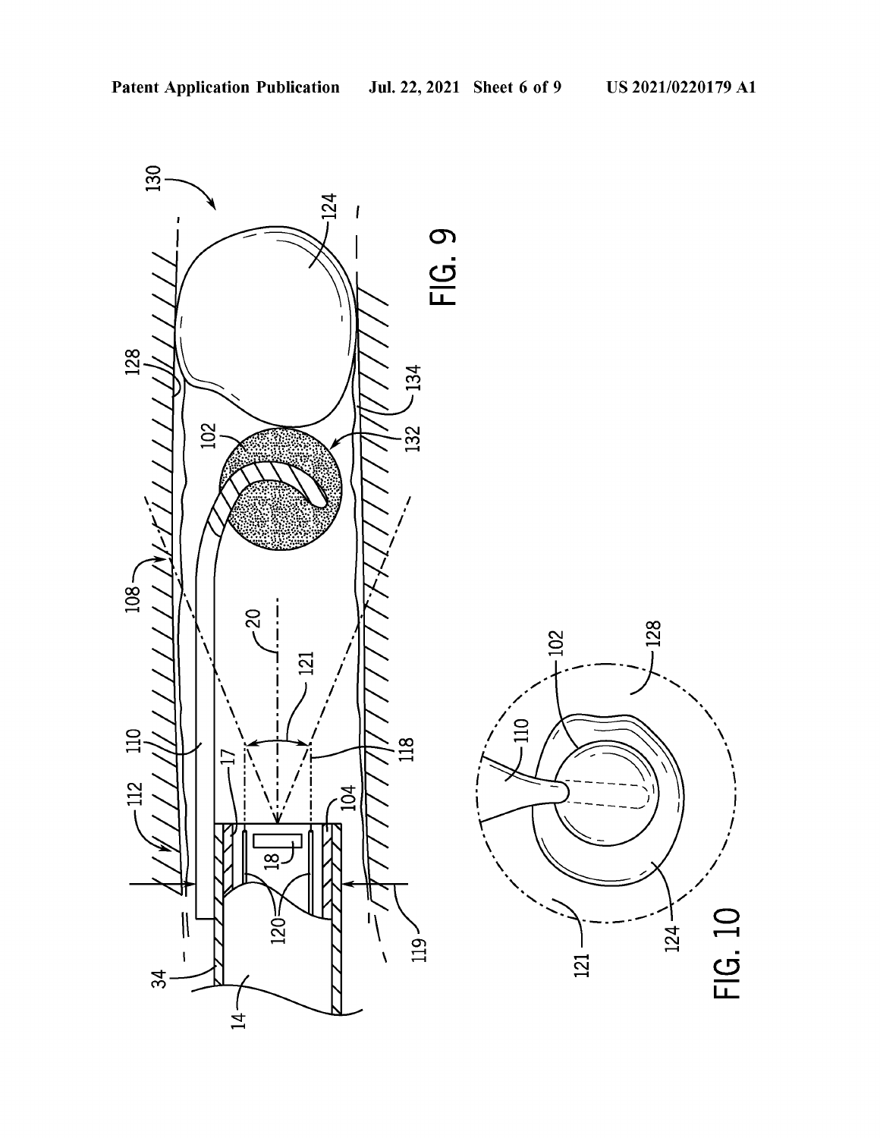I , *I* 

 $\subset$  $\overline{\phantom{0}}$ 

 $124 -$ 

 $\mathbf C$ LL

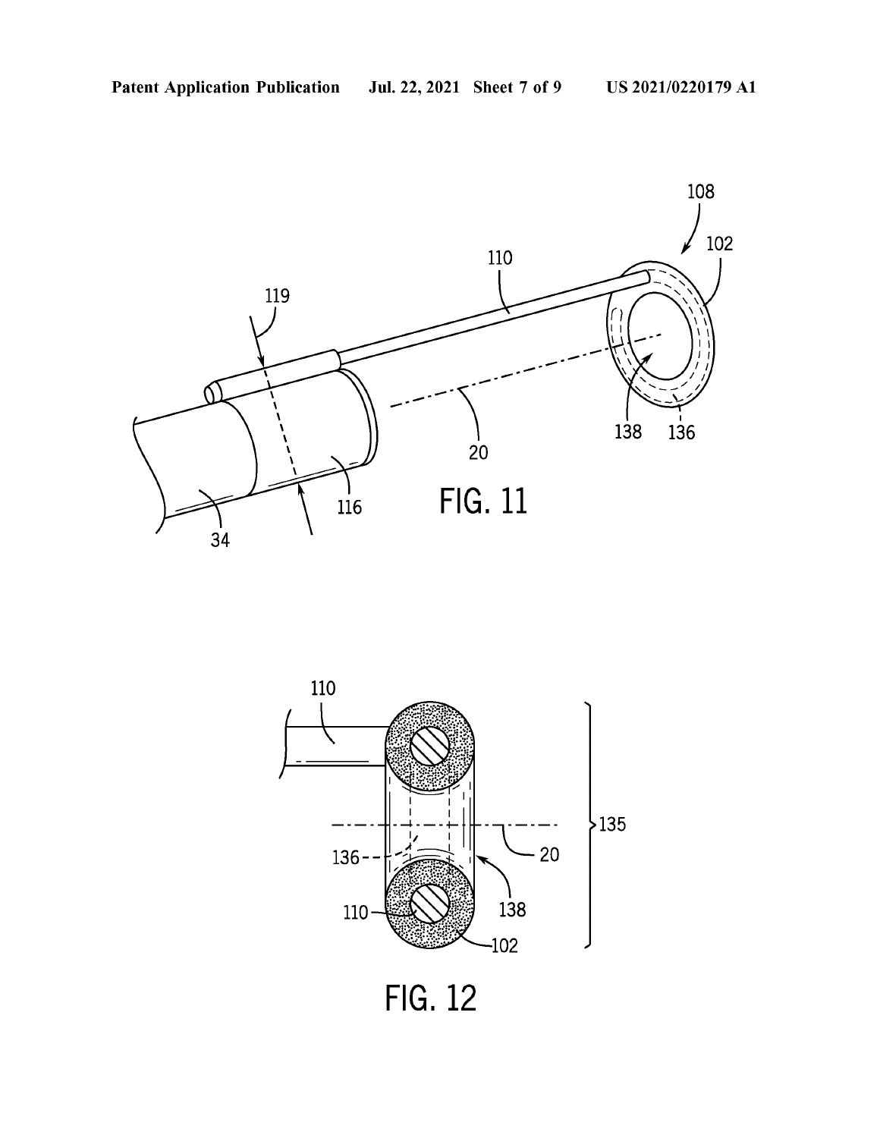



**FIG. 12**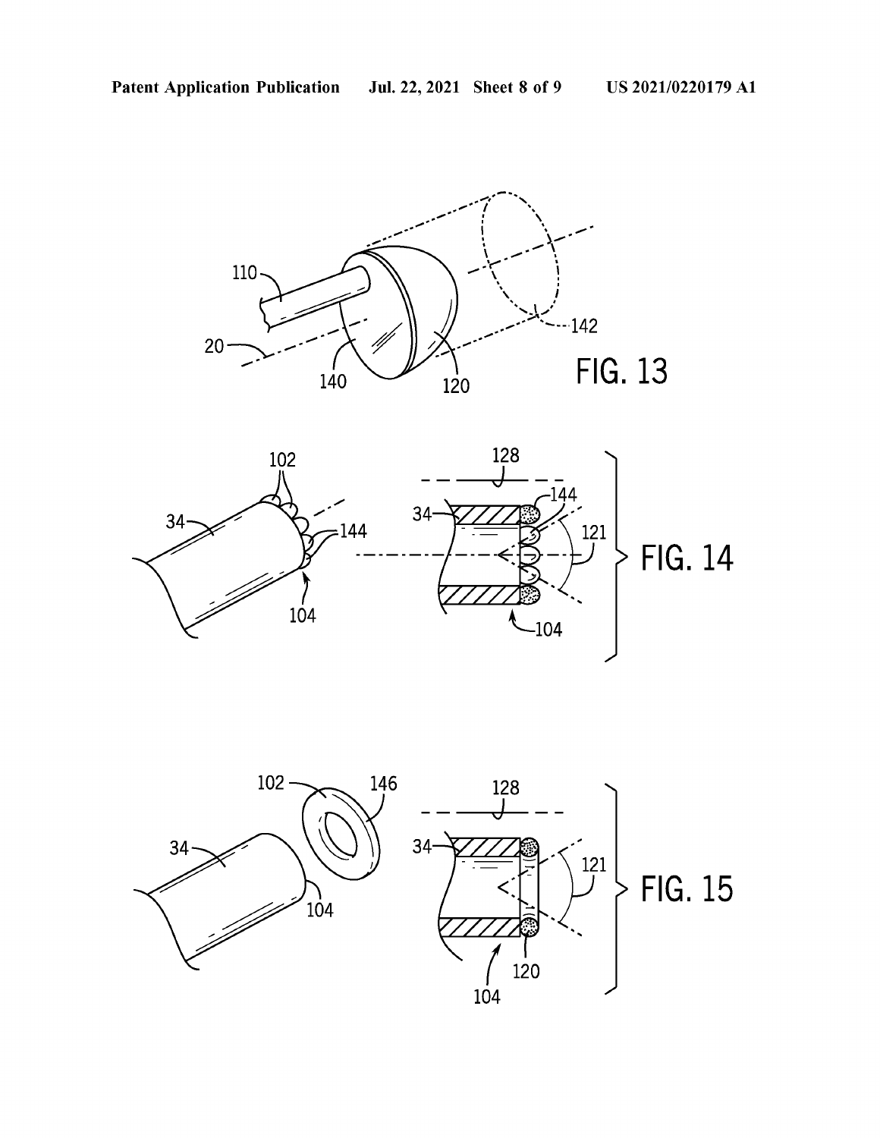



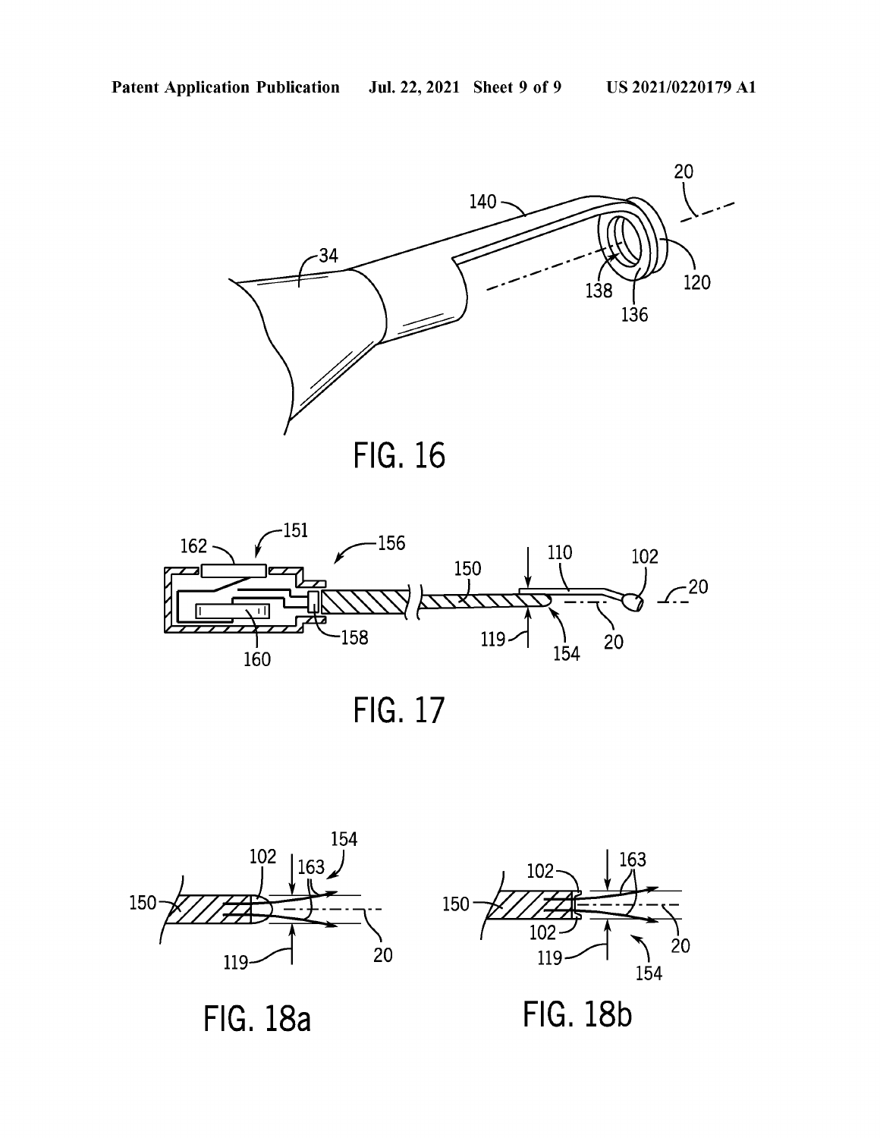



**FIG. 17** 



**FIG. 18a** 



**FIG. 18b**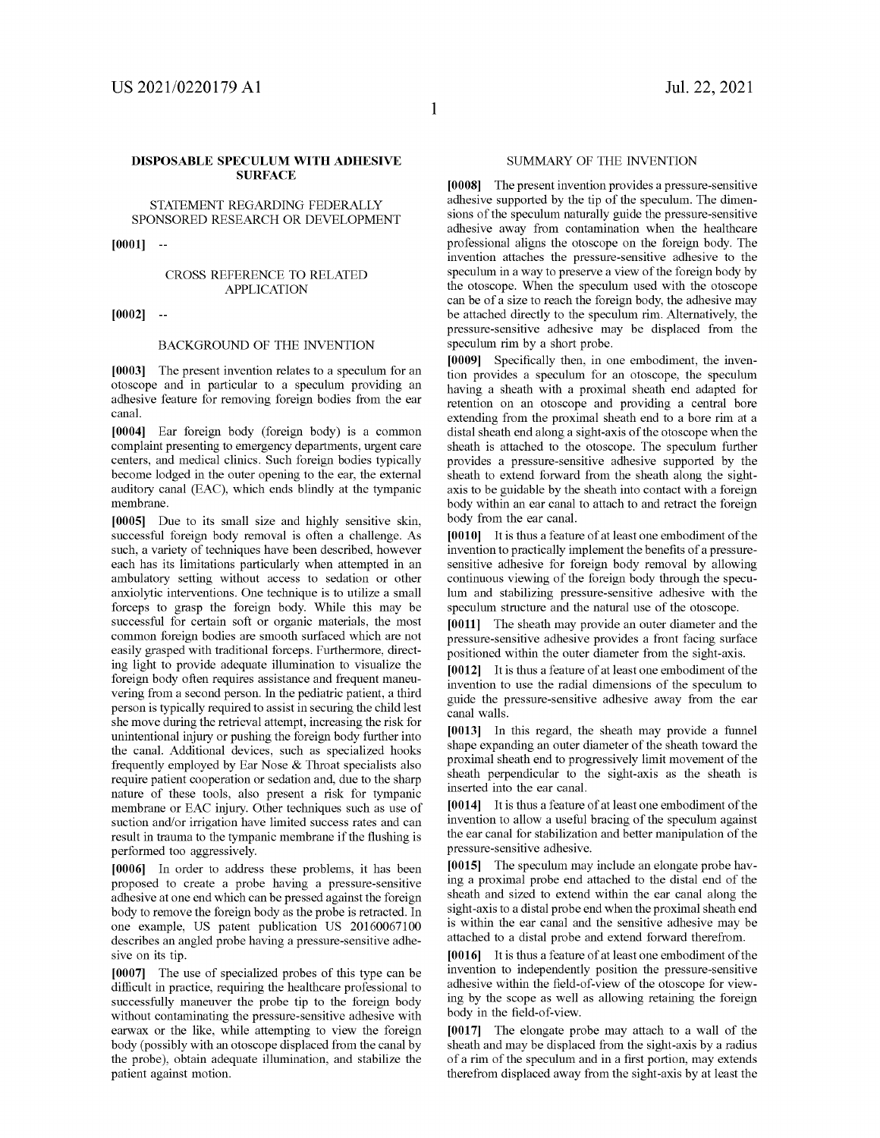#### **DISPOSABLE SPECULUM WITH ADHESIVE SURFACE**

STATEMENT REGARDING FEDERALLY SPONSORED RESEARCH OR DEVELOPMENT

**[0001]** 

#### CROSS REFERENCE TO RELATED APPLICATION

**[0002]** 

#### BACKGROUND OF THE INVENTION

**[0003]** The present invention relates to a speculum for an otoscope and in particular to a speculum providing an adhesive feature for removing foreign bodies from the ear canal.

**[0004]** Ear foreign body (foreign body) is a common complaint presenting to emergency departments, urgent care centers, and medical clinics. Such foreign bodies typically become lodged in the outer opening to the ear, the external auditory canal (EAC), which ends blindly at the tympanic membrane.

**[0005]** Due to its small size and highly sensitive skin, successful foreign body removal is often a challenge. As such, a variety of techniques have been described, however each has its limitations particularly when attempted in an ambulatory setting without access to sedation or other anxiolytic interventions. One technique is to utilize a small forceps to grasp the foreign body. While this may be successful for certain soft or organic materials, the most common foreign bodies are smooth surfaced which are not easily grasped with traditional forceps. Furthermore, directing light to provide adequate illumination to visualize the foreign body often requires assistance and frequent maneuvering from a second person. In the pediatric patient, a third person is typically required to assist in securing the child lest she move during the retrieval attempt, increasing the risk for unintentional injury or pushing the foreign body further into the canal. Additional devices, such as specialized hooks frequently employed by Ear Nose & Throat specialists also require patient cooperation or sedation and, due to the sharp nature of these tools, also present a risk for tympanic membrane or EAC injury. Other techniques such as use of suction and/or irrigation have limited success rates and can result in trauma to the tympanic membrane if the flushing is performed too aggressively.

**[0006]** In order to address these problems, it has been proposed to create a probe having a pressure-sensitive adhesive at one end which can be pressed against the foreign body to remove the foreign body as the probe is retracted. In one example, US patent publication US 20160067100 describes an angled probe having a pressure-sensitive adhesive on its tip.

**[0007]** The use of specialized probes of this type can be difficult in practice, requiring the healthcare professional to successfully maneuver the probe tip to the foreign body without contaminating the pressure-sensitive adhesive with earwax or the like, while attempting to view the foreign body (possibly with an otoscope displaced from the canal by the probe), obtain adequate illumination, and stabilize the patient against motion.

#### SUMMARY OF THE INVENTION

**[0008]** The present invention provides a pressure-sensitive adhesive supported by the tip of the speculum. The dimensions of the speculum naturally guide the pressure-sensitive adhesive away from contamination when the healthcare professional aligns the otoscope on the foreign body. The invention attaches the pressure-sensitive adhesive to the speculum in a way to preserve a view of the foreign body by the otoscope. When the speculum used with the otoscope can be of a size to reach the foreign body, the adhesive may be attached directly to the speculum rim. Alternatively, the pressure-sensitive adhesive may be displaced from the speculum rim by a short probe.

**[0009]** Specifically then, in one embodiment, the invention provides a speculum for an otoscope, the speculum having a sheath with a proximal sheath end adapted for retention on an otoscope and providing a central bore extending from the proximal sheath end to a bore rim at a distal sheath end along a sight-axis of the otoscope when the sheath is attached to the otoscope. The speculum further provides a pressure-sensitive adhesive supported by the sheath to extend forward from the sheath along the sightaxis to be guidable by the sheath into contact with a foreign body within an ear canal to attach to and retract the foreign body from the ear canal.

**[001 OJ** It is thus a feature of at least one embodiment of the invention to practically implement the benefits of a pressuresensitive adhesive for foreign body removal by allowing continuous viewing of the foreign body through the speculum and stabilizing pressure-sensitive adhesive with the speculum structure and the natural use of the otoscope.

**[0011]** The sheath may provide an outer diameter and the pressure-sensitive adhesive provides a front facing surface positioned within the outer diameter from the sight-axis.

**[0012]** It is thus a feature of at least one embodiment of the invention to use the radial dimensions of the speculum to guide the pressure-sensitive adhesive away from the ear canal walls.

**[0013]** In this regard, the sheath may provide a funnel shape expanding an outer diameter of the sheath toward the proximal sheath end to progressively limit movement of the sheath perpendicular to the sight-axis as the sheath is inserted into the ear canal.

**[0014]** It is thus a feature of at least one embodiment of the invention to allow a useful bracing of the speculum against the ear canal for stabilization and better manipulation of the pressure-sensitive adhesive.

**[0015]** The speculum may include an elongate probe having a proximal probe end attached to the distal end of the sheath and sized to extend within the ear canal along the sight-axis to a distal probe end when the proximal sheath end is within the ear canal and the sensitive adhesive may be attached to a distal probe and extend forward therefrom.

**[0016]** It is thus a feature of at least one embodiment of the invention to independently position the pressure-sensitive adhesive within the field-of-view of the otoscope for viewing by the scope as well as allowing retaining the foreign body in the field-of-view.

**[0017]** The elongate probe may attach to a wall of the sheath and may be displaced from the sight-axis by a radius of a rim of the speculum and in a first portion, may extends therefrom displaced away from the sight-axis by at least the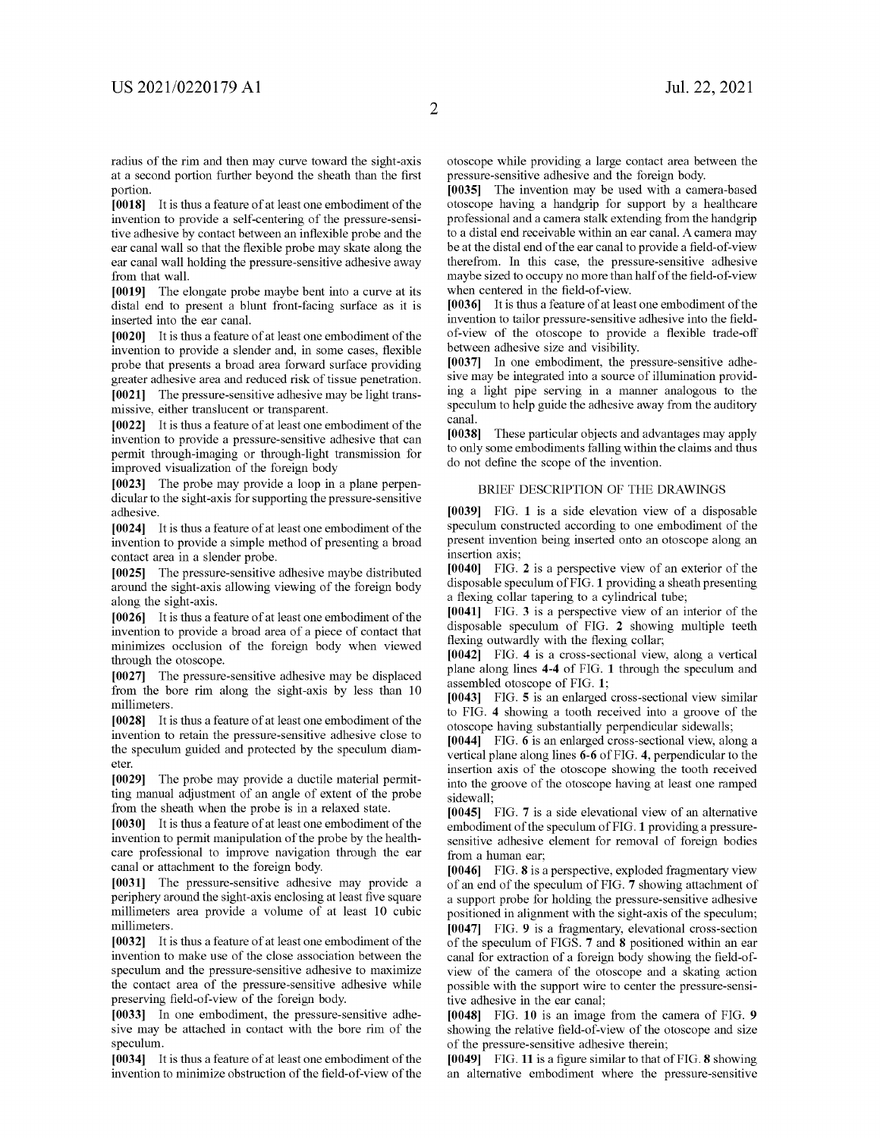[0018] It is thus a feature of at least one embodiment of the invention to provide a self-centering of the pressure-sensitive adhesive by contact between an inflexible probe and the ear canal wall so that the flexible probe may skate along the ear canal wall holding the pressure-sensitive adhesive away from that wall.

**[0019]** The elongate probe maybe bent into a curve at its distal end to present a blunt front-facing surface as it is inserted into the ear canal.

[0020] It is thus a feature of at least one embodiment of the invention to provide a slender and, in some cases, flexible probe that presents a broad area forward surface providing greater adhesive area and reduced risk of tissue penetration.

**[0021]** The pressure-sensitive adhesive may be light transmissive, either translucent or transparent.

[0022] It is thus a feature of at least one embodiment of the invention to provide a pressure-sensitive adhesive that can permit through-imaging or through-light transmission for improved visualization of the foreign body

**[0023]** The probe may provide a loop in a plane perpendicular to the sight-axis for supporting the pressure-sensitive adhesive.

[0024] It is thus a feature of at least one embodiment of the invention to provide a simple method of presenting a broad contact area in a slender probe.

**[0025]** The pressure-sensitive adhesive maybe distributed around the sight-axis allowing viewing of the foreign body along the sight-axis.

[0026] It is thus a feature of at least one embodiment of the invention to provide a broad area of a piece of contact that minimizes occlusion of the foreign body when viewed through the otoscope.

**[0027]** The pressure-sensitive adhesive may be displaced from the bore rim along the sight-axis by less than 10 millimeters.

[0028] It is thus a feature of at least one embodiment of the invention to retain the pressure-sensitive adhesive close to the speculum guided and protected by the speculum diameter.

**[0029]** The probe may provide a ductile material permitting manual adjustment of an angle of extent of the probe from the sheath when the probe is in a relaxed state.

[0030] It is thus a feature of at least one embodiment of the invention to permit manipulation of the probe by the healthcare professional to improve navigation through the ear canal or attachment to the foreign body.

**[0031]** The pressure-sensitive adhesive may provide a periphery around the sight-axis enclosing at least five square millimeters area provide a volume of at least 10 cubic millimeters.

[0032] It is thus a feature of at least one embodiment of the invention to make use of the close association between the speculum and the pressure-sensitive adhesive to maximize the contact area of the pressure-sensitive adhesive while preserving field-of-view of the foreign body.

**[0033]** In one embodiment, the pressure-sensitive adhesive may be attached in contact with the bore rim of the speculum.

[0034] It is thus a feature of at least one embodiment of the invention to minimize obstruction of the field-of-view of the otoscope while providing a large contact area between the pressure-sensitive adhesive and the foreign body.

**[0035]** The invention may be used with a camera-based otoscope having a handgrip for support by a healthcare professional and a camera stalk extending from the handgrip to a distal end receivable within an ear canal. A camera may be at the distal end of the ear canal to provide a field-of-view therefrom. In this case, the pressure-sensitive adhesive maybe sized to occupy no more than half of the field-of-view when centered in the field-of-view.

**[0036]** It is thus a feature of at least one embodiment of the invention to tailor pressure-sensitive adhesive into the fieldof-view of the otoscope to provide a flexible trade-off between adhesive size and visibility.

**[0037]** In one embodiment, the pressure-sensitive adhesive may be integrated into a source of illumination providing a light pipe serving in a manner analogous to the speculum to help guide the adhesive away from the auditory canal.

**[0038]** These particular objects and advantages may apply to only some embodiments falling within the claims and thus do not define the scope of the invention.

#### BRIEF DESCRIPTION OF THE DRAWINGS

**[0039]** FIG. **1** is a side elevation view of a disposable speculum constructed according to one embodiment of the present invention being inserted onto an otoscope along an insertion axis;

**[0040]** FIG. **2** is a perspective view of an exterior of the disposable speculum of FIG. **1** providing a sheath presenting a flexing collar tapering to a cylindrical tube;

**[0041]** FIG. **3** is a perspective view of an interior of the disposable speculum of FIG. **2** showing multiple teeth flexing outwardly with the flexing collar;

**[0042]** FIG. **4** is a cross-sectional view, along a vertical plane along lines **4-4** of FIG. **1** through the speculum and assembled otoscope of FIG. **1;** 

**[0043]** FIG. **5** is an enlarged cross-sectional view similar to FIG. **4** showing a tooth received into a groove of the otoscope having substantially perpendicular sidewalls;

**[0044]** FIG. **6** is an enlarged cross-sectional view, along a vertical plane along lines **6-6** of FIG. **4,** perpendicular to the insertion axis of the otoscope showing the tooth received into the groove of the otoscope having at least one ramped sidewall;

**[0045]** FIG. **7** is a side elevational view of an alternative embodiment of the speculum of FIG. **1** providing a pressuresensitive adhesive element for removal of foreign bodies from a human ear;

**[0046]** FIG. **8** is a perspective, exploded fragmentary view of an end of the speculum of FIG. **7** showing attachment of a support probe for holding the pressure-sensitive adhesive positioned in alignment with the sight-axis of the speculum; **[0047]** FIG. **9** is a fragmentary, elevational cross-section of the speculum of FIGS. **7** and **8** positioned within an ear canal for extraction of a foreign body showing the field-ofview of the camera of the otoscope and a skating action possible with the support wire to center the pressure-sensitive adhesive in the ear canal;

**[0048]** FIG. **10** is an image from the camera of FIG. **9**  showing the relative field-of-view of the otoscope and size of the pressure-sensitive adhesive therein;

**[0049]** FIG. **11** is a figure similar to that of FIG. **8** showing an alternative embodiment where the pressure-sensitive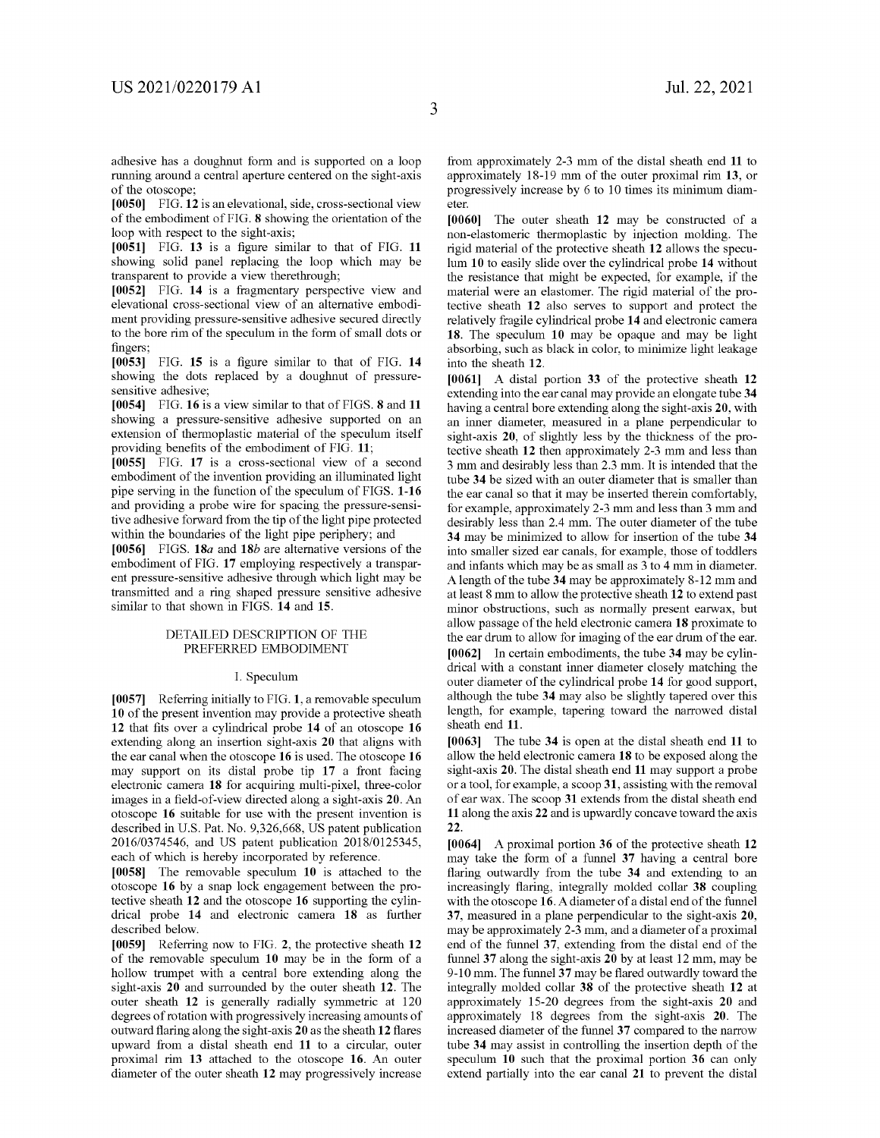adhesive has a doughnut form and is supported on a loop running around a central aperture centered on the sight-axis of the otoscope;

**[0050]** FIG. **12** is an elevational, side, cross-sectional view of the embodiment of FIG. **8** showing the orientation of the loop with respect to the sight-axis;

**[0051]** FIG. **13** is a figure similar to that of FIG. **11**  showing solid panel replacing the loop which may be transparent to provide a view therethrough;

**[0052]** FIG. **14** is a fragmentary perspective view and elevational cross-sectional view of an alternative embodiment providing pressure-sensitive adhesive secured directly to the bore rim of the speculum in the form of small dots or fingers;

**[0053]** FIG. **15** is a figure similar to that of FIG. **14**  showing the dots replaced by a doughnut of pressuresensitive adhesive;

**[0054]** FIG. **16** is a view similar to that of FIGS. **8 and 11**  showing a pressure-sensitive adhesive supported on an extension of thermoplastic material of the speculum itself providing benefits of the embodiment of FIG. **11;** 

**[0055]** FIG. **17** is a cross-sectional view of a second embodiment of the invention providing an illuminated light pipe serving in the function of the speculum of FIGS. **1-16**  and providing a probe wire for spacing the pressure-sensitive adhesive forward from the tip of the light pipe protected within the boundaries of the light pipe periphery; and

**[0056]** FIGS. **18a and 18b** are alternative versions of the embodiment of FIG. **17** employing respectively a transparent pressure-sensitive adhesive through which light may be transmitted and a ring shaped pressure sensitive adhesive similar to that shown in FIGS. **14** and **15.** 

#### DETAILED DESCRIPTION OF THE PREFERRED EMBODIMENT

#### I. Speculum

**[0057]** Referring initially to FIG. **1,** a removable speculum **10** of the present invention may provide a protective sheath **12** that fits over a cylindrical probe **14** of an otoscope **16**  extending along an insertion sight-axis **20** that aligns with the ear canal when the otoscope **16** is used. The otoscope **16**  may support on its distal probe tip **17** a front facing electronic camera **18** for acquiring multi-pixel, three-color images in a field-of-view directed along a sight-axis **20.** An otoscope **16** suitable for use with the present invention is described in U.S. Pat. No. 9,326,668, US patent publication 2016/0374546, and US patent publication 2018/0125345, each of which is hereby incorporated by reference.

**[0058]** The removable speculum **10** is attached to the otoscope **16** by a snap lock engagement between the protective sheath **12** and the otoscope **16** supporting the cylindrical probe **14** and electronic camera **18** as further described below.

**[0059]** Referring now to FIG. **2,** the protective sheath **12**  of the removable speculum **10** may be in the form of a hollow trumpet with a central bore extending along the sight-axis **20** and surrounded by the outer sheath **12.** The outer sheath **12** is generally radially symmetric at 120 degrees of rotation with progressively increasing amounts of outward flaring along the sight-axis **20** as the sheath **12** flares upward from a distal sheath end **11** to a circular, outer proximal rim **13** attached to the otoscope **16.** An outer diameter of the outer sheath **12** may progressively increase from approximately 2-3 mm of the distal sheath end **11** to approximately 18-19 mm of the outer proximal rim **13,** or progressively increase by 6 to 10 times its minimum diameter.

**[0060]** The outer sheath **12** may be constructed of a non-elastomeric thermoplastic by injection molding. The rigid material of the protective sheath **12** allows the speculum **10** to easily slide over the cylindrical probe **14** without the resistance that might be expected, for example, if the material were an elastomer. The rigid material of the protective sheath **12** also serves to support and protect the relatively fragile cylindrical probe **14** and electronic camera **18.** The speculum **10** may be opaque and may be light absorbing, such as black in color, to minimize light leakage into the sheath **12.** 

**[0061]** A distal portion **33** of the protective sheath **12**  extending into the ear canal may provide an elongate tube **34**  having a central bore extending along the sight-axis **20,** with an inner diameter, measured in a plane perpendicular to sight-axis **20,** of slightly less by the thickness of the protective sheath **12** then approximately 2-3 mm and less than 3 mm and desirably less than 2.3 mm. It is intended that the tube **34** be sized with an outer diameter that is smaller than the ear canal so that it may be inserted therein comfortably, for example, approximately 2-3 mm and less than 3 mm and desirably less than 2.4 mm. The outer diameter of the tube **34** may be minimized to allow for insertion of the tube **34**  into smaller sized ear canals, for example, those of toddlers and infants which may be as small as 3 to 4 mm in diameter. A length of the tube **34** may be approximately 8-12 mm and at least 8 mm to allow the protective sheath **12** to extend past minor obstructions, such as normally present earwax, but allow passage of the held electronic camera **18** proximate to the ear drum to allow for imaging of the ear drum of the ear. **[0062]** In certain embodiments, the tube **34** may be cylindrical with a constant inner diameter closely matching the outer diameter of the cylindrical probe **14** for good support, although the tube **34** may also be slightly tapered over this length, for example, tapering toward the narrowed distal sheath end **11.** 

**[0063]** The tube **34** is open at the distal sheath end **11** to allow the held electronic camera **18** to be exposed along the sight-axis **20.** The distal sheath end **11** may support a probe or a tool, for example, a scoop **31,** assisting with the removal of ear wax. The scoop **31** extends from the distal sheath end **11** along the axis **22** and is upwardly concave toward the axis **22.** 

**[0064]** A proximal portion **36** of the protective sheath **12**  may take the form of a funnel **37** having a central bore flaring outwardly from the tube **34** and extending to an increasingly flaring, integrally molded collar **38** coupling with the otoscope **16.** A diameter of a distal end of the funnel **37,** measured in a plane perpendicular to the sight-axis **20,**  may be approximately 2-3 mm, and a diameter of a proximal end of the funnel **37,** extending from the distal end of the funnel **37** along the sight-axis **20** by at least 12 mm, may be 9-10 mm. The funnel **37** may be flared outwardly toward the integrally molded collar **38** of the protective sheath **12** at approximately 15-20 degrees from the sight-axis **20** and approximately 18 degrees from the sight-axis **20.** The increased diameter of the funnel **37** compared to the narrow tube **34** may assist in controlling the insertion depth of the speculum **10** such that the proximal portion **36** can only extend partially into the ear canal **21** to prevent the distal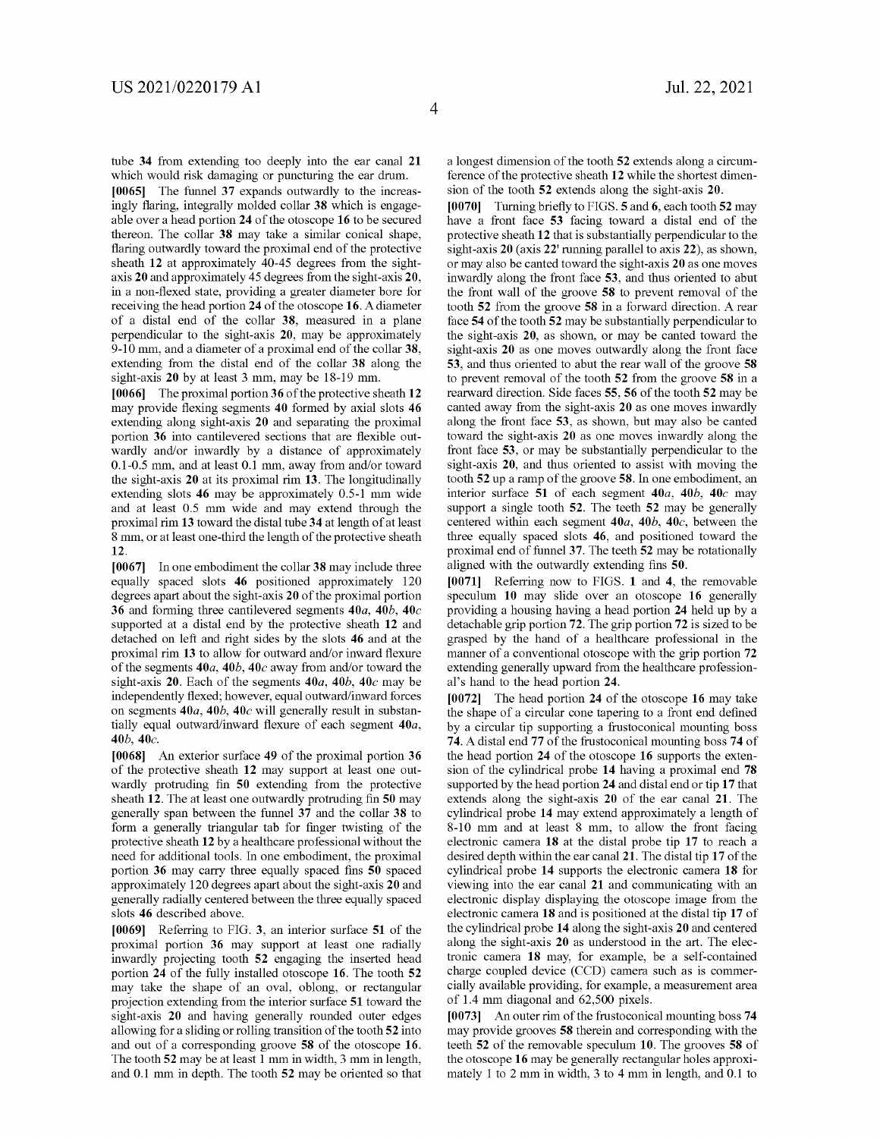tube **34** from extending too deeply into the ear canal **21**  which would risk damaging or puncturing the ear drum.

**[0065]** The funnel **37** expands outwardly to the increasingly flaring, integrally molded collar **38** which is engageable over a head portion **24** of the otoscope **16** to be secured thereon. The collar **38** may take a similar conical shape, flaring outwardly toward the proximal end of the protective sheath **12** at approximately 40-45 degrees from the sightaxis **20** and approximately 45 degrees from the sight-axis **20,**  in a non-flexed state, providing a greater diameter bore for receiving the head portion **24** of the otoscope **16.** A diameter of a distal end of the collar **38,** measured in a plane perpendicular to the sight-axis **20,** may be approximately 9-10 mm, and a diameter of a proximal end of the collar **38,**  extending from the distal end of the collar **38** along the sight-axis **20** by at least 3 mm, may be 18-19 mm.

**[0066]** The proximal portion **36** of the protective sheath **12**  may provide flexing segments **40** formed by axial slots **46**  extending along sight-axis **20** and separating the proximal portion **36** into cantilevered sections that are flexible outwardly and/or inwardly by a distance of approximately 0.1-0.5 mm, and at least 0.1 mm, away from and/or toward the sight-axis **20** at its proximal rim **13.** The longitudinally extending slots **46** may be approximately 0.5-1 mm wide and at least 0.5 mm wide and may extend through the proximal rim **13** toward the distal tube **34** at length of at least 8 mm, or at least one-third the length of the protective sheath **12.** 

**[0067]** In one embodiment the collar **38** may include three equally spaced slots **46** positioned approximately 120 degrees apart about the sight-axis **20** of the proximal portion **36** and forming three cantilevered segments *40a, 40b,* **40c**  supported at a distal end by the protective sheath **12** and detached on left and right sides by the slots **46** and at the proximal rim **13** to allow for outward and/or inward flexure of the segments *40a, 40b,* **40c** away from and/or toward the sight-axis **20.** Each of the segments *40a, 40b,* **40c** may be independently flexed; however, equal outward/inward forces on segments *40a, 40b,* **40c** will generally result in substantially equal outward/inward flexure of each segment *40a, 40b,* **40c.** 

**[0068]** An exterior surface **49** of the proximal portion **36**  of the protective sheath **12** may support at least one outwardly protruding fin **50** extending from the protective sheath **12.** The at least one outwardly protruding fin **50** may generally span between the funnel **37** and the collar **38** to form a generally triangular tab for finger twisting of the protective sheath **12** by a healthcare professional without the need for additional tools. In one embodiment, the proximal portion **36** may carry three equally spaced fins **50** spaced approximately 120 degrees apart about the sight-axis **20** and generally radially centered between the three equally spaced slots **46** described above.

**[0069]** Referring to FIG. **3,** an interior surface **51** of the proximal portion **36** may support at least one radially inwardly projecting tooth **52** engaging the inserted head portion **24** of the fully installed otoscope **16.** The tooth **52**  may take the shape of an oval, oblong, or rectangular projection extending from the interior surface **51** toward the sight-axis **20** and having generally rounded outer edges allowing for a sliding or rolling transition of the tooth **52** into and out of a corresponding groove **58** of the otoscope **16.**  The tooth **52** may be at least 1 mm in width, 3 mm in length, and 0.1 mm in depth. The tooth **52** may be oriented so that a longest dimension of the tooth **52** extends along a circumference of the protective sheath **12** while the shortest dimension of the tooth **52** extends along the sight-axis **20.** 

**[0070]** Turning briefly to FIGS. **5** and **6,** each tooth **52** may have a front face **53** facing toward a distal end of the protective sheath **12** that is substantially perpendicular to the sight-axis **20** (axis **22'** running parallel to axis **22),** as shown, or may also be canted toward the sight-axis **20** as one moves inwardly along the front face **53,** and thus oriented to abut the front wall of the groove **58** to prevent removal of the tooth **52** from the groove **58** in a forward direction. A rear face **54** of the tooth **52** may be substantially perpendicular to the sight-axis **20,** as shown, or may be canted toward the sight-axis **20** as one moves outwardly along the front face **53,** and thus oriented to abut the rear wall of the groove **58**  to prevent removal of the tooth **52** from the groove **58** in a rearward direction. Side faces **55, 56** of the tooth **52** may be canted away from the sight-axis **20** as one moves inwardly along the front face **53,** as shown, but may also be canted toward the sight-axis **20** as one moves inwardly along the front face **53,** or may be substantially perpendicular to the sight-axis **20,** and thus oriented to assist with moving the tooth **52** up a ramp of the groove **58.** In one embodiment, an interior surface **51** of each segment *40a, 40b,* **40c** may support a single tooth **52.** The teeth **52** may be generally centered within each segment *40a, 40b,* **40c,** between the three equally spaced slots **46,** and positioned toward the proximal end of funnel **37.** The teeth **52** may be rotationally aligned with the outwardly extending fins **50.** 

**[0071]** Referring now to FIGS. **1** and **4,** the removable speculum **10** may slide over an otoscope **16** generally providing a housing having a head portion **24** held up by a detachable grip portion **72.** The grip portion **72** is sized to be grasped by the hand of a healthcare professional in the manner of a conventional otoscope with the grip portion **72**  extending generally upward from the healthcare professional's hand to the head portion **24.** 

**[0072]** The head portion **24** of the otoscope **16** may take the shape of a circular cone tapering to a front end defined by a circular tip supporting a frustoconical mounting boss **74.** A distal end **77** of the frustoconical mounting boss **74** of the head portion **24** of the otoscope **16** supports the extension of the cylindrical probe **14** having a proximal end **78**  supported by the head portion **24** and distal end or tip **17** that extends along the sight-axis **20** of the ear canal **21.** The cylindrical probe **14** may extend approximately a length of 8-10 mm and at least 8 mm, to allow the front facing electronic camera **18** at the distal probe tip **17** to reach a desired depth within the ear canal **21.** The distal tip **17** of the cylindrical probe **14** supports the electronic camera **18** for viewing into the ear canal **21** and communicating with an electronic display displaying the otoscope image from the electronic camera **18** and is positioned at the distal tip **17** of the cylindrical probe **14** along the sight-axis **20** and centered along the sight-axis **20** as understood in the art. The electronic camera **18** may, for example, be a self-contained charge coupled device (CCD) camera such as is commercially available providing, for example, a measurement area of 1.4 mm diagonal and 62,500 pixels.

**[0073]** An outer rim of the frustoconical mounting boss **74**  may provide grooves **58** therein and corresponding with the teeth **52** of the removable speculum **10.** The grooves **58** of the otoscope **16** may be generally rectangular holes approximately 1 to 2 mm in width, 3 to 4 mm in length, and 0.1 to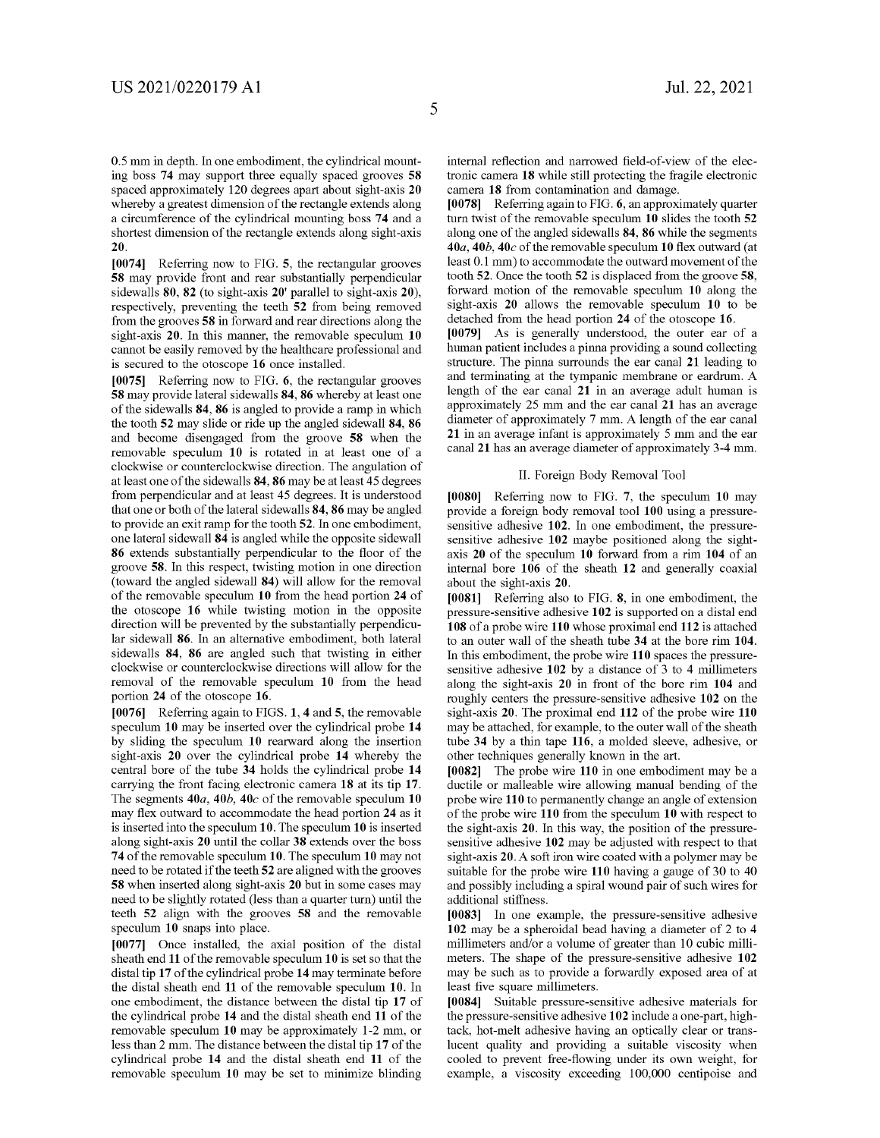0.5 mm in depth. In one embodiment, the cylindrical mounting boss **74** may support three equally spaced grooves **58**  spaced approximately 120 degrees apart about sight-axis **20**  whereby a greatest dimension of the rectangle extends along a circumference of the cylindrical mounting boss **74** and a shortest dimension of the rectangle extends along sight-axis **20.** 

**[0074]** Referring now to FIG. **5,** the rectangular grooves **58** may provide front and rear substantially perpendicular sidewalls **80, 82** (to sight-axis **20'** parallel to sight-axis **20),**  respectively, preventing the teeth **52** from being removed from the grooves **58** in forward and rear directions along the sight-axis **20.** In this manner, the removable speculum **10**  cannot be easily removed by the healthcare professional and is secured to the otoscope **16** once installed.

**[0075]** Referring now to FIG. **6,** the rectangular grooves **58** may provide lateral sidewalls **84, 86** whereby at least one of the sidewalls **84, 86** is angled to provide a ramp in which the tooth **52** may slide or ride up the angled sidewall **84, 86**  and become disengaged from the groove **58** when the removable speculum **10** is rotated in at least one of a clockwise or counterclockwise direction. The angulation of at least one of the sidewalls **84, 86** may be at least 45 degrees from perpendicular and at least 45 degrees. It is understood that one or both of the lateral sidewalls **84, 86** may be angled to provide an exit ramp for the tooth **52.** In one embodiment, one lateral sidewall **84** is angled while the opposite sidewall **86** extends substantially perpendicular to the floor of the groove **58.** In this respect, twisting motion in one direction (toward the angled sidewall **84)** will allow for the removal of the removable speculum **10** from the head portion **24** of the otoscope **16** while twisting motion in the opposite direction will be prevented by the substantially perpendicular sidewall **86.** In an alternative embodiment, both lateral sidewalls **84, 86** are angled such that twisting in either clockwise or counterclockwise directions will allow for the removal of the removable speculum **10** from the head portion **24** of the otoscope **16.** 

**[0076]** Referring again to FIGS. **1, 4** and **5,** the removable speculum **10** may be inserted over the cylindrical probe **14**  by sliding the speculum **10** rearward along the insertion sight-axis **20** over the cylindrical probe **14** whereby the central bore of the tube **34** holds the cylindrical probe **14**  carrying the front facing electronic camera **18** at its tip **17.**  The segments *40a, 40b,* **40c** of the removable speculum **10**  may flex outward to accommodate the head portion **24** as it is inserted into the speculum **10.** The speculum **10** is inserted along sight-axis **20** until the collar **38** extends over the boss **74** of the removable speculum **10.** The speculum **10** may not need to be rotated if the teeth **52** are aligned with the grooves **58** when inserted along sight-axis **20** but in some cases may need to be slightly rotated (less than a quarter turn) until the teeth **52** align with the grooves **58** and the removable speculum **10** snaps into place.

**[0077]** Once installed, the axial position of the distal sheath end **11** of the removable speculum **10** is set so that the distal tip **17** of the cylindrical probe **14** may terminate before the distal sheath end **11** of the removable speculum **10.** In one embodiment, the distance between the distal tip **17** of the cylindrical probe **14** and the distal sheath end **11** of the removable speculum **10** may be approximately 1-2 mm, or less than 2 mm. The distance between the distal tip **17** of the cylindrical probe **14** and the distal sheath end **11** of the removable speculum **10** may be set to minimize blinding internal reflection and narrowed field-of-view of the electronic camera **18** while still protecting the fragile electronic camera **18** from contamination and damage.

**[0078]** Referring again to FIG. **6,** an approximately quarter turn twist of the removable speculum **10** slides the tooth **52**  along one of the angled sidewalls **84, 86** while the segments *40a, 40b,* **40c** of the removable speculum **10** flex outward ( at least 0.1 mm) to accommodate the outward movement of the tooth **52.** Once the tooth **52** is displaced from the groove **58,**  forward motion of the removable speculum **10** along the sight-axis **20** allows the removable speculum **10** to be detached from the head portion **24** of the otoscope **16.** 

**[0079]** As is generally understood, the outer ear of a human patient includes a pinna providing a sound collecting structure. The pinna surrounds the ear canal **21** leading to and terminating at the tympanic membrane or eardrum. A length of the ear canal **21** in an average adult human is approximately 25 mm and the ear canal **21** has an average diameter of approximately 7 mm. A length of the ear canal **21** in an average infant is approximately 5 mm and the ear canal **21** has an average diameter of approximately 3-4 mm.

#### II. Foreign Body Removal Tool

**[0080]** Referring now to FIG. **7,** the speculum **10** may provide a foreign body removal tool **100** using a pressuresensitive adhesive **102.** In one embodiment, the pressuresensitive adhesive **102** maybe positioned along the sightaxis **20** of the speculum **10** forward from a rim **104** of an internal bore **106** of the sheath **12** and generally coaxial about the sight-axis **20.** 

**[0081]** Referring also to FIG. **8,** in one embodiment, the pressure-sensitive adhesive **102** is supported on a distal end **108** of a probe wire **110** whose proximal end **112** is attached to an outer wall of the sheath tube **34** at the bore rim **104.**  In this embodiment, the probe wire **110** spaces the pressuresensitive adhesive **102** by a distance of 3 to 4 millimeters along the sight-axis **20** in front of the bore rim **104** and roughly centers the pressure-sensitive adhesive **102** on the sight-axis **20.** The proximal end **112** of the probe wire **110**  may be attached, for example, to the outer wall of the sheath tube **34** by a thin tape **116,** a molded sleeve, adhesive, or other techniques generally known in the art.

**[0082]** The probe wire **110** in one embodiment may be a ductile or malleable wire allowing manual bending of the probe wire **110** to permanently change an angle of extension of the probe wire **110** from the speculum **10** with respect to the sight-axis **20.** In this way, the position of the pressuresensitive adhesive **102** may be adjusted with respect to that sight-axis **20.** A soft iron wire coated with a polymer may be suitable for the probe wire **110** having a gauge of 30 to 40 and possibly including a spiral wound pair of such wires for additional stiffness.

**[0083]** In one example, the pressure-sensitive adhesive **102** may be a spheroidal bead having a diameter of 2 to 4 millimeters and/or a volume of greater than 10 cubic millimeters. The shape of the pressure-sensitive adhesive **102**  may be such as to provide a forwardly exposed area of at least five square millimeters.

**[0084]** Suitable pressure-sensitive adhesive materials for the pressure-sensitive adhesive **102** include a one-part, hightack, hot-melt adhesive having an optically clear or translucent quality and providing a suitable viscosity when cooled to prevent free-flowing under its own weight, for example, a viscosity exceeding 100,000 centipoise and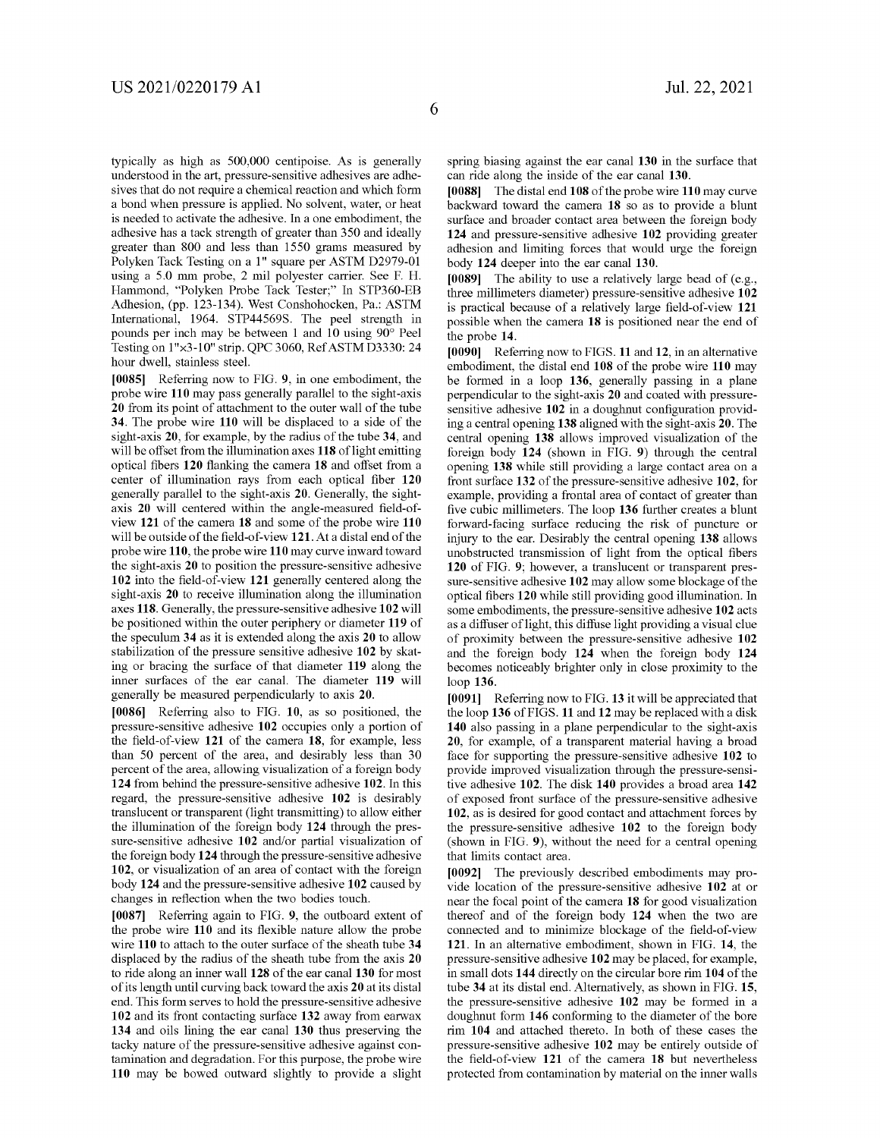typically as high as 500,000 centipoise. As is generally understood in the art, pressure-sensitive adhesives are adhesives that do not require a chemical reaction and which form a bond when pressure is applied. No solvent, water, or heat is needed to activate the adhesive. In a one embodiment, the adhesive has a tack strength of greater than 350 and ideally greater than 800 and less than 1550 grams measured by Polyken Tack Testing on a 1" square per ASTM D2979-01 using a 5.0 mm probe, 2 mil polyester carrier. See F. H. Hammond, "Polyken Probe Tack Tester;" In STP360-EB Adhesion, (pp. 123-134). West Conshohocken, Pa.: ASTM International, 1964. STP44569S. The peel strength in pounds per inch may be between 1 and 10 using 90° Peel Testing on 1"x3-10" strip. QPC 3060, Ref ASTM D3330: 24 hour dwell, stainless steel.

**[0085]** Referring now to FIG. **9,** in one embodiment, the probe wire **110** may pass generally parallel to the sight-axis **20** from its point of attachment to the outer wall of the tube **34.** The probe wire **110** will be displaced to a side of the sight-axis **20,** for example, by the radius of the tube **34,** and will be offset from the illumination axes 118 of light emitting optical fibers **120** flanking the camera **18** and offset from a center of illumination rays from each optical fiber **120**  generally parallel to the sight-axis **20.** Generally, the sightaxis **20** will centered within the angle-measured field-ofview **121** of the camera **18** and some of the probe wire **110**  will be outside of the field-of-view **121.** At a distal end of the probe wire **110,** the probe wire **110** may curve inward toward the sight-axis **20** to position the pressure-sensitive adhesive **102** into the field-of-view **121** generally centered along the sight-axis **20** to receive illumination along the illumination axes **118.** Generally, the pressure-sensitive adhesive **102** will be positioned within the outer periphery or diameter **119** of the speculum **34** as it is extended along the axis **20** to allow stabilization of the pressure sensitive adhesive **102** by skating or bracing the surface of that diameter **119** along the inner surfaces of the ear canal. The diameter **119** will generally be measured perpendicularly to axis **20.** 

**[0086]** Referring also to FIG. **10,** as so positioned, the pressure-sensitive adhesive **102** occupies only a portion of the field-of-view **121** of the camera **18,** for example, less than 50 percent of the area, and desirably less than 30 percent of the area, allowing visualization of a foreign body **124** from behind the pressure-sensitive adhesive **102.** In this regard, the pressure-sensitive adhesive **102** is desirably translucent or transparent (light transmitting) to allow either the illumination of the foreign body **124** through the pressure-sensitive adhesive **102** and/or partial visualization of the foreign body **124** through the pressure-sensitive adhesive **102,** or visualization of an area of contact with the foreign body **124** and the pressure-sensitive adhesive **102** caused by changes in reflection when the two bodies touch.

**[0087]** Referring again to FIG. **9,** the outboard extent of the probe wire **110** and its flexible nature allow the probe wire **110** to attach to the outer surface of the sheath tube **34**  displaced by the radius of the sheath tube from the axis **20**  to ride along an inner wall **128** of the ear canal **130** for most of its length until curving back toward the axis **20** at its distal end. This form serves to hold the pressure-sensitive adhesive **102** and its front contacting surface **132** away from earwax **134** and oils lining the ear canal **130** thus preserving the tacky nature of the pressure-sensitive adhesive against contamination and degradation. For this purpose, the probe wire **110** may be bowed outward slightly to provide a slight spring biasing against the ear canal **130** in the surface that can ride along the inside of the ear canal **130.** 

**[0088]** The distal end **108** of the probe wire **110** may curve backward toward the camera **18** so as to provide a blunt surface and broader contact area between the foreign body **124** and pressure-sensitive adhesive **102** providing greater adhesion and limiting forces that would urge the foreign body **124** deeper into the ear canal **130.** 

**[0089]** The ability to use a relatively large bead of (e.g., three millimeters diameter) pressure-sensitive adhesive **102**  is practical because of a relatively large field-of-view **121**  possible when the camera **18** is positioned near the end of the probe **14.** 

**[0090]** Referring now to FIGS. **11** and **12,** in an alternative embodiment, the distal end **108** of the probe wire **110** may be formed in a loop **136,** generally passing in a plane perpendicular to the sight-axis **20** and coated with pressuresensitive adhesive **102** in a doughnut configuration providing a central opening **138** aligned with the sight-axis **20.** The central opening **138** allows improved visualization of the foreign body **124** (shown in FIG. **9)** through the central opening **138** while still providing a large contact area on a front surface **132** of the pressure-sensitive adhesive **102,** for example, providing a frontal area of contact of greater than five cubic millimeters. The loop **136** further creates a blunt forward-facing surface reducing the risk of puncture or injury to the ear. Desirably the central opening **138** allows unobstructed transmission of light from the optical fibers **120** of FIG. **9;** however, a translucent or transparent pressure-sensitive adhesive **102** may allow some blockage of the optical fibers **120** while still providing good illumination. In some embodiments, the pressure-sensitive adhesive **102** acts as a diffuser of light, this diffuse light providing a visual clue of proximity between the pressure-sensitive adhesive **102**  and the foreign body **124** when the foreign body **124**  becomes noticeably brighter only in close proximity to the loop **136.** 

**[0091]** Referring now to FIG. **13** it will be appreciated that the loop **136** of FIGS. **11** and **12** may be replaced with a disk **140** also passing in a plane perpendicular to the sight-axis **20,** for example, of a transparent material having a broad face for supporting the pressure-sensitive adhesive **102** to provide improved visualization through the pressure-sensitive adhesive **102.** The disk **140** provides a broad area **142**  of exposed front surface of the pressure-sensitive adhesive **102,** as is desired for good contact and attachment forces by the pressure-sensitive adhesive **102** to the foreign body (shown in FIG. **9),** without the need for a central opening that limits contact area.

**[0092]** The previously described embodiments may provide location of the pressure-sensitive adhesive **102** at or near the focal point of the camera **18** for good visualization thereof and of the foreign body **124** when the two are connected and to minimize blockage of the field-of-view **121.** In an alternative embodiment, shown in FIG. **14,** the pressure-sensitive adhesive **102** may be placed, for example, in small dots **144** directly on the circular bore rim **104** of the tube **34** at its distal end. Alternatively, as shown in FIG. **15,**  the pressure-sensitive adhesive **102** may be formed in a doughnut form **146** conforming to the diameter of the bore rim **104** and attached thereto. In both of these cases the pressure-sensitive adhesive **102** may be entirely outside of the field-of-view **121** of the camera **18** but nevertheless protected from contamination by material on the inner walls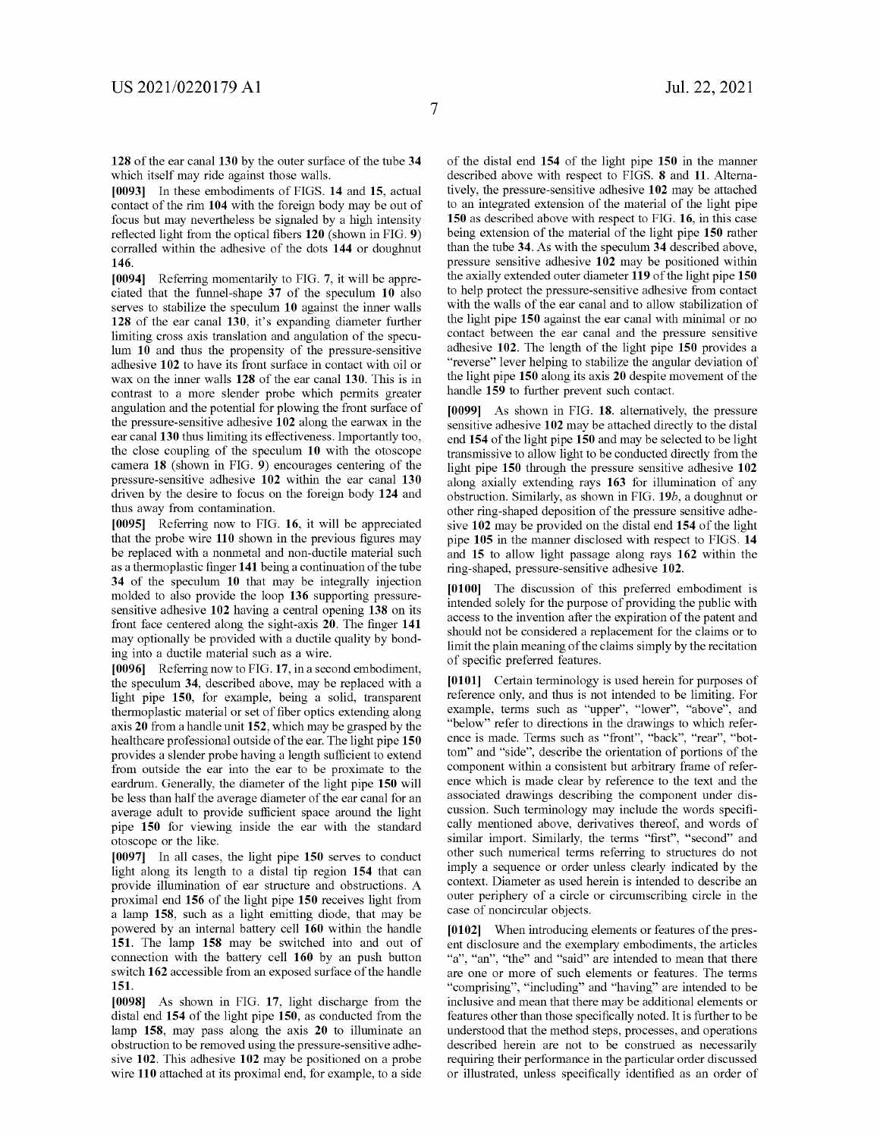**128** of the ear canal **130** by the outer surface of the tube **34**  which itself may ride against those walls.

**[0093]** In these embodiments of FIGS. **14 and 15,** actual contact of the rim **104** with the foreign body may be out of focus but may nevertheless be signaled by a high intensity reflected light from the optical fibers **120** (shown in FIG. **9)**  corralled within the adhesive of the dots **144** or doughnut **146.** 

**[0094]** Referring momentarily to FIG. **7,** it will be appreciated that the funnel-shape **37** of the speculum **10** also serves to stabilize the speculum **10** against the inner walls **128** of the ear canal **130,** it's expanding diameter further limiting cross axis translation and angulation of the speculum **10** and thus the propensity of the pressure-sensitive adhesive **102** to have its front surface in contact with oil or wax on the inner walls **128** of the ear canal **130.** This is in contrast to a more slender probe which permits greater angulation and the potential for plowing the front surface of the pressure-sensitive adhesive **102** along the earwax in the ear canal **130** thus limiting its effectiveness. Importantly too, the close coupling of the speculum **10** with the otoscope camera **18** (shown in FIG. **9)** encourages centering of the pressure-sensitive adhesive **102** within the ear canal **130**  driven by the desire to focus on the foreign body **124** and thus away from contamination.

**[0095]** Referring now to FIG. **16,** it will be appreciated that the probe wire **110** shown in the previous figures may be replaced with a nonmetal and non-ductile material such as a thermoplastic finger **141** being a continuation of the tube **34** of the speculum **10** that may be integrally injection molded to also provide the loop **136** supporting pressuresensitive adhesive **102** having a central opening **138** on its front face centered along the sight-axis **20.** The finger **141**  may optionally be provided with a ductile quality by bonding into a ductile material such as a wire.

**[0096]** Referring now to FIG. **17,** in a second embodiment, the speculum **34,** described above, may be replaced with a light pipe **150,** for example, being a solid, transparent thermoplastic material or set of fiber optics extending along axis **20** from a handle unit **152,** which may be grasped by the healthcare professional outside of the ear. The light pipe **150**  provides a slender probe having a length sufficient to extend from outside the ear into the ear to be proximate to the eardrum. Generally, the diameter of the light pipe **150** will be less than half the average diameter of the ear canal for an average adult to provide sufficient space around the light pipe **150** for viewing inside the ear with the standard otoscope or the like.

**[0097]** In all cases, the light pipe **150** serves to conduct light along its length to a distal tip region **154** that can provide illumination of ear structure and obstructions. A proximal end **156** of the light pipe **150** receives light from a lamp **158,** such as a light emitting diode, that may be powered by an internal battery cell **160** within the handle **151.** The lamp **158** may be switched into and out of connection with the battery cell **160** by an push button switch **162** accessible from an exposed surface of the handle **151.** 

**[0098]** As shown in FIG. **17,** light discharge from the distal end **154** of the light pipe **150,** as conducted from the lamp **158,** may pass along the axis **20** to illuminate an obstruction to be removed using the pressure-sensitive adhesive **102.** This adhesive **102** may be positioned on a probe wire **110** attached at its proximal end, for example, to a side of the distal end **154** of the light pipe **150** in the manner described above with respect to FIGS. **8** and **11.** Alternatively, the pressure-sensitive adhesive **102** may be attached to an integrated extension of the material of the light pipe **150** as described above with respect to FIG. **16,** in this case being extension of the material of the light pipe **150** rather than the tube **34.** As with the speculum **34** described above, pressure sensitive adhesive **102** may be positioned within the axially extended outer diameter **119** of the light pipe **150**  to help protect the pressure-sensitive adhesive from contact with the walls of the ear canal and to allow stabilization of the light pipe **150** against the ear canal with minimal or no contact between the ear canal and the pressure sensitive adhesive **102.** The length of the light pipe **150** provides a "reverse" lever helping to stabilize the angular deviation of the light pipe **150** along its axis **20** despite movement of the handle **159** to further prevent such contact.

**[0099]** As shown in FIG. **18.** alternatively, the pressure sensitive adhesive **102** may be attached directly to the distal end **154** of the light pipe **150** and may be selected to be light transmissive to allow light to be conducted directly from the light pipe **150** through the pressure sensitive adhesive **102**  along axially extending rays **163** for illumination of any obstruction. Similarly, as shown in FIG. **19b,** a doughnut or other ring-shaped deposition of the pressure sensitive adhesive **102** may be provided on the distal end **154** of the light pipe **105** in the manner disclosed with respect to FIGS. **14**  and **15** to allow light passage along rays **162** within the ring-shaped, pressure-sensitive adhesive **102.** 

**[0100]** The discussion of this preferred embodiment is intended solely for the purpose of providing the public with access to the invention after the expiration of the patent and should not be considered a replacement for the claims or to limit the plain meaning of the claims simply by the recitation of specific preferred features.

**[0101]** Certain terminology is used herein for purposes of reference only, and thus is not intended to be limiting. For example, terms such as "upper", "lower", "above", and "below" refer to directions in the drawings to which reference is made. Terms such as "front", "back", "rear", "bottom" and "side", describe the orientation of portions of the component within a consistent but arbitrary frame of reference which is made clear by reference to the text and the associated drawings describing the component under discussion. Such terminology may include the words specifically mentioned above, derivatives thereof, and words of similar import. Similarly, the terms "first", "second" and other such numerical terms referring to structures do not imply a sequence or order unless clearly indicated by the context. Diameter as used herein is intended to describe an outer periphery of a circle or circumscribing circle in the case of noncircular objects.

**[0102]** When introducing elements or features of the present disclosure and the exemplary embodiments, the articles "a", "an", "the" and "said" are intended to mean that there are one or more of such elements or features. The terms "comprising", "including" and "having" are intended to be inclusive and mean that there may be additional elements or features other than those specifically noted. It is further to be understood that the method steps, processes, and operations described herein are not to be construed as necessarily requiring their performance in the particular order discussed or illustrated, unless specifically identified as an order of